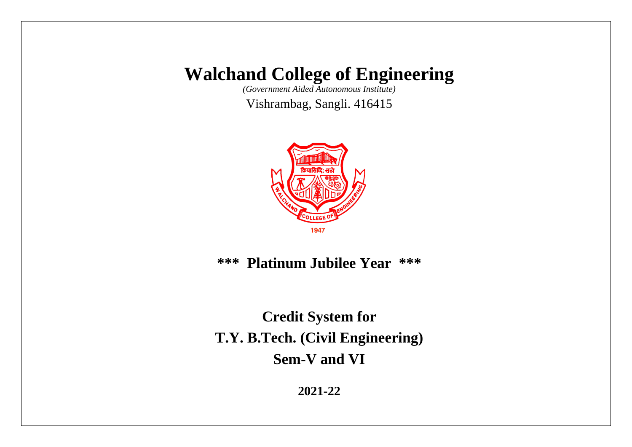*(Government Aided Autonomous Institute)*

Vishrambag, Sangli. 416415



**\*\*\* Platinum Jubilee Year \*\*\***

**Credit System for T.Y. B.Tech. (Civil Engineering) Sem-V and VI**

**2021-22**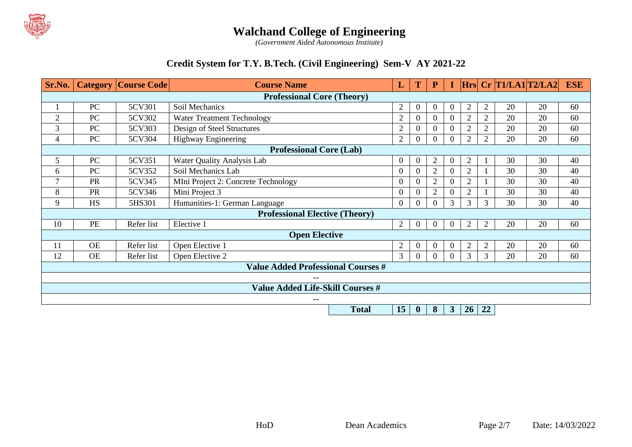

*(Government Aided Autonomous Institute)*

### **Credit System for T.Y. B.Tech. (Civil Engineering) Sem-V AY 2021-22**

| Sr.No.                                  |                                           | <b>Category   Course Code  </b> | <b>Course Name</b>                                                                                |                |                  | ${\bf P}$      |              |                |                | $Hrs$ Cr T1/LA1 T2/LA2 |    | <b>ESE</b> |
|-----------------------------------------|-------------------------------------------|---------------------------------|---------------------------------------------------------------------------------------------------|----------------|------------------|----------------|--------------|----------------|----------------|------------------------|----|------------|
|                                         | <b>Professional Core (Theory)</b>         |                                 |                                                                                                   |                |                  |                |              |                |                |                        |    |            |
|                                         | PC                                        | 5CV301                          | Soil Mechanics                                                                                    | $\overline{2}$ | $\boldsymbol{0}$ | $\Omega$       | $\theta$     | $\overline{2}$ | $\overline{2}$ | 20                     | 20 | 60         |
| $\overline{2}$                          | PC                                        | 5CV302                          | <b>Water Treatment Technology</b>                                                                 | $\overline{2}$ | $\overline{0}$   | $\Omega$       | $\Omega$     | $\overline{2}$ | $\overline{2}$ | 20                     | 20 | 60         |
| 3                                       | PC                                        | 5CV303                          | Design of Steel Structures                                                                        | $\overline{2}$ | $\Omega$         | $\Omega$       |              | $\overline{2}$ | $\overline{2}$ | 20                     | 20 | 60         |
| 4                                       | PC                                        | 5CV304                          | Highway Engineering                                                                               | $\overline{2}$ | $\overline{0}$   | $\Omega$       |              | 2              | $\overline{2}$ | 20                     | 20 | 60         |
|                                         |                                           |                                 | <b>Professional Core (Lab)</b>                                                                    |                |                  |                |              |                |                |                        |    |            |
| 5                                       | PC                                        | 5CV351                          | Water Quality Analysis Lab                                                                        | $\Omega$       | $\overline{0}$   | $\overline{2}$ | $\Omega$     | 2              | -1             | 30                     | 30 | 40         |
| 6                                       | PC                                        | 5CV352                          | Soil Mechanics Lab                                                                                | $\theta$       | $\overline{0}$   | $\overline{2}$ | 0            | $\overline{2}$ |                | 30                     | 30 | 40         |
| 7                                       | PR                                        | 5CV345                          | MIni Project 2: Concrete Technology                                                               | $\Omega$       | $\overline{0}$   | $\overline{2}$ | $\Omega$     | 2              |                | 30                     | 30 | 40         |
| 8                                       | PR                                        | 5CV346                          | Mini Project 3                                                                                    | $\Omega$       | $\overline{0}$   | $\overline{2}$ |              | $\overline{2}$ |                | 30                     | 30 | 40         |
| 9                                       | <b>HS</b>                                 | 5HS301                          | Humanities-1: German Language                                                                     | $\theta$       | $\Omega$         | $\Omega$       | 3            | 3              | 3              | 30                     | 30 | 40         |
|                                         | <b>Professional Elective (Theory)</b>     |                                 |                                                                                                   |                |                  |                |              |                |                |                        |    |            |
| 10                                      | <b>PE</b>                                 | Refer list                      | Elective 1                                                                                        | $\overline{2}$ | $\theta$         | $\Omega$       | $\Omega$     | $\overline{2}$ | $\overline{2}$ | 20                     | 20 | 60         |
|                                         | <b>Open Elective</b>                      |                                 |                                                                                                   |                |                  |                |              |                |                |                        |    |            |
| 11                                      | <b>OE</b>                                 | Refer list                      | Open Elective 1                                                                                   | $\overline{2}$ | $\overline{0}$   | $\Omega$       | $\theta$     | $\overline{2}$ | $\overline{2}$ | 20                     | 20 | 60         |
| 12                                      | <b>OE</b>                                 | Refer list                      | 3<br>$\overline{3}$<br>3<br>20<br>Open Elective 2<br>$\overline{0}$<br>20<br>$\Omega$<br>$\Omega$ |                |                  | 60             |              |                |                |                        |    |            |
|                                         | <b>Value Added Professional Courses #</b> |                                 |                                                                                                   |                |                  |                |              |                |                |                        |    |            |
|                                         | $- -$                                     |                                 |                                                                                                   |                |                  |                |              |                |                |                        |    |            |
| <b>Value Added Life-Skill Courses #</b> |                                           |                                 |                                                                                                   |                |                  |                |              |                |                |                        |    |            |
|                                         |                                           |                                 | --                                                                                                |                |                  |                |              |                |                |                        |    |            |
|                                         |                                           |                                 | <b>Total</b>                                                                                      | 15             | $\boldsymbol{0}$ | 8              | $\mathbf{3}$ | 26             | $\sqrt{22}$    |                        |    |            |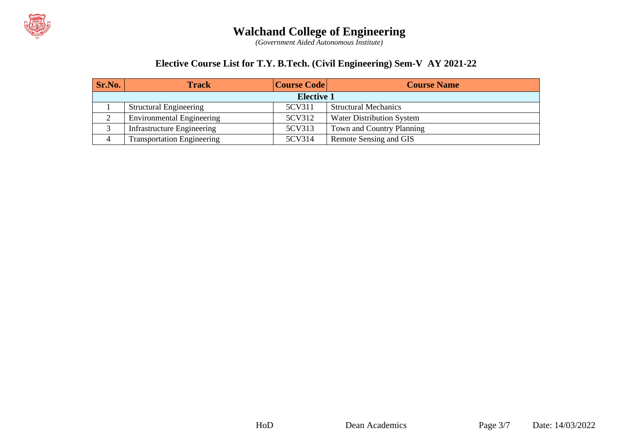

*(Government Aided Autonomous Institute)*

### **Elective Course List for T.Y. B.Tech. (Civil Engineering) Sem-V AY 2021-22**

| Sr.No.            | <b>Track</b>                      | <b>Course Code</b> | <b>Course Name</b>               |  |  |  |
|-------------------|-----------------------------------|--------------------|----------------------------------|--|--|--|
| <b>Elective 1</b> |                                   |                    |                                  |  |  |  |
|                   | <b>Structural Engineering</b>     | 5CV311             | <b>Structural Mechanics</b>      |  |  |  |
| ∠                 | <b>Environmental Engineering</b>  | 5CV312             | <b>Water Distribution System</b> |  |  |  |
|                   | <b>Infrastructure Engineering</b> | 5CV313             | Town and Country Planning        |  |  |  |
| 4                 | <b>Transportation Engineering</b> | 5CV314             | Remote Sensing and GIS           |  |  |  |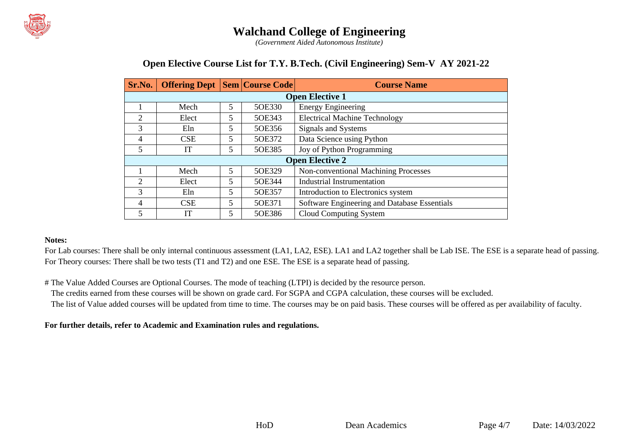

*(Government Aided Autonomous Institute)*

#### **Open Elective Course List for T.Y. B.Tech. (Civil Engineering) Sem-V AY 2021-22**

| Sr.No.                 | <b>Offering Dept   Sem   Course Code  </b> |   |        | <b>Course Name</b>                           |  |  |  |  |  |  |  |
|------------------------|--------------------------------------------|---|--------|----------------------------------------------|--|--|--|--|--|--|--|
|                        | <b>Open Elective 1</b>                     |   |        |                                              |  |  |  |  |  |  |  |
|                        | Mech                                       | 5 | 50E330 | <b>Energy Engineering</b>                    |  |  |  |  |  |  |  |
| $\overline{2}$         | Elect                                      | 5 | 50E343 | <b>Electrical Machine Technology</b>         |  |  |  |  |  |  |  |
| 3                      | Eln.                                       | 5 | 50E356 | Signals and Systems                          |  |  |  |  |  |  |  |
| 4                      | <b>CSE</b>                                 | 5 | 5OE372 | Data Science using Python                    |  |  |  |  |  |  |  |
| 5                      | IT                                         |   | 5OE385 | Joy of Python Programming                    |  |  |  |  |  |  |  |
| <b>Open Elective 2</b> |                                            |   |        |                                              |  |  |  |  |  |  |  |
|                        | Mech                                       | 5 | 5OE329 | Non-conventional Machining Processes         |  |  |  |  |  |  |  |
| $\overline{2}$         | Elect                                      | 5 | 5OE344 | <b>Industrial Instrumentation</b>            |  |  |  |  |  |  |  |
| 3                      | Eln                                        | 5 | 50E357 | Introduction to Electronics system           |  |  |  |  |  |  |  |
| $\overline{4}$         | <b>CSE</b>                                 | 5 | 50E371 | Software Engineering and Database Essentials |  |  |  |  |  |  |  |
| 5                      | IТ                                         |   | 5OE386 | Cloud Computing System                       |  |  |  |  |  |  |  |

#### **Notes:**

For Lab courses: There shall be only internal continuous assessment (LA1, LA2, ESE). LA1 and LA2 together shall be Lab ISE. The ESE is a separate head of passing. For Theory courses: There shall be two tests (T1 and T2) and one ESE. The ESE is a separate head of passing.

# The Value Added Courses are Optional Courses. The mode of teaching (LTPI) is decided by the resource person.

The credits earned from these courses will be shown on grade card. For SGPA and CGPA calculation, these courses will be excluded.

The list of Value added courses will be updated from time to time. The courses may be on paid basis. These courses will be offered as per availability of faculty.

#### **For further details, refer to Academic and Examination rules and regulations.**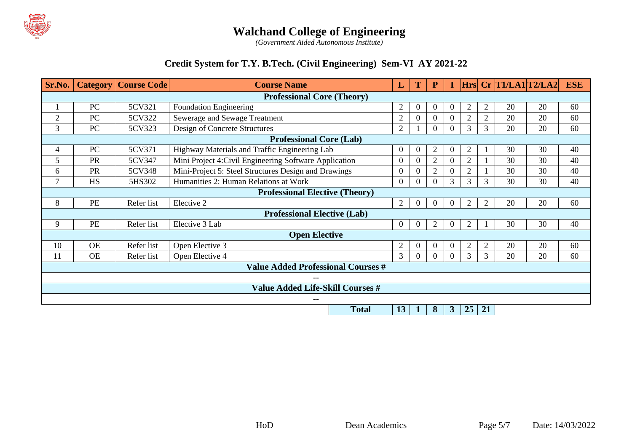

*(Government Aided Autonomous Institute)*

### **Credit System for T.Y. B.Tech. (Civil Engineering) Sem-VI AY 2021-22**

| Sr.No.                                  |                                           | <b>Category   Course Code  </b> | <b>Course Name</b>                                                             |                | T                | P              |                |                |                | $Hrs$ Cr T1/LA1 T2/LA2 |    | <b>ESE</b> |
|-----------------------------------------|-------------------------------------------|---------------------------------|--------------------------------------------------------------------------------|----------------|------------------|----------------|----------------|----------------|----------------|------------------------|----|------------|
|                                         | <b>Professional Core (Theory)</b>         |                                 |                                                                                |                |                  |                |                |                |                |                        |    |            |
|                                         | PC                                        | 5CV321                          | Foundation Engineering                                                         | 2              | $\mathbf{0}$     | 0              | $\Omega$       | 2              | $\overline{2}$ | 20                     | 20 | 60         |
| $\overline{2}$                          | PC                                        | 5CV322                          | Sewerage and Sewage Treatment                                                  | $\overline{2}$ | $\boldsymbol{0}$ | $\theta$       |                | $\overline{2}$ | $\overline{2}$ | 20                     | 20 | 60         |
| 3                                       | PC                                        | 5CV323                          | Design of Concrete Structures                                                  | $\overline{2}$ |                  | $\Omega$       |                | 3              | 3              | 20                     | 20 | 60         |
|                                         |                                           |                                 | <b>Professional Core (Lab)</b>                                                 |                |                  |                |                |                |                |                        |    |            |
| 4                                       | PC                                        | 5CV371                          | Highway Materials and Traffic Engineering Lab                                  | $\theta$       | $\boldsymbol{0}$ | $\overline{2}$ | $\Omega$       | $\overline{2}$ |                | 30                     | 30 | 40         |
| 5                                       | PR                                        | 5CV347                          | Mini Project 4: Civil Engineering Software Application                         |                | $\Omega$         | $\overline{2}$ | $\theta$       | $\overline{2}$ |                | 30                     | 30 | 40         |
| 6                                       | <b>PR</b>                                 | 5CV348                          | Mini-Project 5: Steel Structures Design and Drawings                           |                | $\theta$         | $\overline{2}$ |                |                |                | 30                     | 30 | 40         |
| $\tau$                                  | <b>HS</b>                                 | 5HS302                          | Humanities 2: Human Relations at Work<br>$\Omega$                              |                |                  | $\Omega$       | 3              | 3              | 3              | 30                     | 30 | 40         |
|                                         | <b>Professional Elective (Theory)</b>     |                                 |                                                                                |                |                  |                |                |                |                |                        |    |            |
| 8                                       | PE                                        | Refer list                      | Elective 2                                                                     | $\overline{2}$ | $\boldsymbol{0}$ | $\theta$       | $\overline{0}$ | 2              | $\overline{2}$ | 20                     | 20 | 60         |
|                                         | <b>Professional Elective (Lab)</b>        |                                 |                                                                                |                |                  |                |                |                |                |                        |    |            |
| 9                                       | PE                                        | Refer list                      | Elective 3 Lab                                                                 |                | $\Omega$         | $\overline{2}$ | $\Omega$       | 2              |                | 30                     | 30 | 40         |
|                                         |                                           |                                 | <b>Open Elective</b>                                                           |                |                  |                |                |                |                |                        |    |            |
| 10                                      | <b>OE</b>                                 | Refer list                      | Open Elective 3                                                                | $\overline{2}$ | $\Omega$         |                | $\Omega$       | $\overline{2}$ | $\overline{2}$ | 20                     | 20 | 60         |
| 11                                      | <b>OE</b>                                 | Refer list                      | 3<br>3<br>3<br>20<br>Open Elective 4<br>20<br>$\Omega$<br>$\Omega$<br>$\Omega$ |                | 60               |                |                |                |                |                        |    |            |
|                                         | <b>Value Added Professional Courses #</b> |                                 |                                                                                |                |                  |                |                |                |                |                        |    |            |
|                                         |                                           |                                 |                                                                                |                |                  |                |                |                |                |                        |    |            |
| <b>Value Added Life-Skill Courses #</b> |                                           |                                 |                                                                                |                |                  |                |                |                |                |                        |    |            |
|                                         |                                           |                                 | --                                                                             |                |                  |                |                |                |                |                        |    |            |
|                                         |                                           |                                 | <b>Total</b>                                                                   | 13             | л                | 8              | 3              | 25             | 21             |                        |    |            |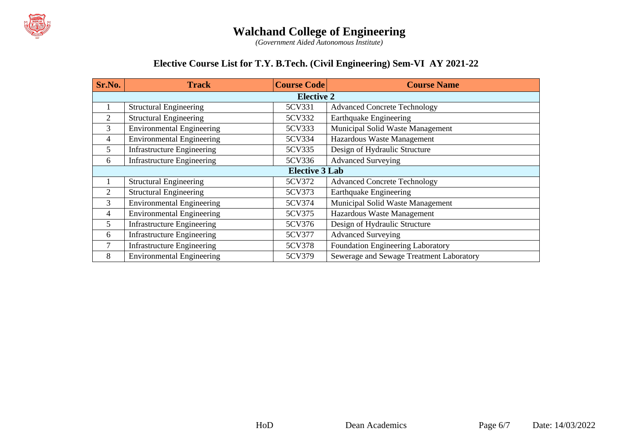

*(Government Aided Autonomous Institute)*

### **Elective Course List for T.Y. B.Tech. (Civil Engineering) Sem-VI AY 2021-22**

| Sr.No.            | <b>Track</b>                      | <b>Course Code</b> | <b>Course Name</b>                       |  |  |  |  |  |
|-------------------|-----------------------------------|--------------------|------------------------------------------|--|--|--|--|--|
| <b>Elective 2</b> |                                   |                    |                                          |  |  |  |  |  |
|                   | <b>Structural Engineering</b>     | 5CV331             | <b>Advanced Concrete Technology</b>      |  |  |  |  |  |
| 2                 | <b>Structural Engineering</b>     | 5CV332             | <b>Earthquake Engineering</b>            |  |  |  |  |  |
| 3                 | <b>Environmental Engineering</b>  | 5CV333             | Municipal Solid Waste Management         |  |  |  |  |  |
| 4                 | <b>Environmental Engineering</b>  | 5CV334             | Hazardous Waste Management               |  |  |  |  |  |
| 5                 | <b>Infrastructure Engineering</b> | 5CV335             | Design of Hydraulic Structure            |  |  |  |  |  |
| 6                 | <b>Infrastructure Engineering</b> | 5CV336             | <b>Advanced Surveying</b>                |  |  |  |  |  |
|                   | <b>Elective 3 Lab</b>             |                    |                                          |  |  |  |  |  |
|                   | <b>Structural Engineering</b>     | 5CV372             | <b>Advanced Concrete Technology</b>      |  |  |  |  |  |
| 2                 | <b>Structural Engineering</b>     | 5CV373             | <b>Earthquake Engineering</b>            |  |  |  |  |  |
| 3                 | <b>Environmental Engineering</b>  | 5CV374             | Municipal Solid Waste Management         |  |  |  |  |  |
| 4                 | <b>Environmental Engineering</b>  | 5CV375             | Hazardous Waste Management               |  |  |  |  |  |
| 5                 | <b>Infrastructure Engineering</b> | 5CV376             | Design of Hydraulic Structure            |  |  |  |  |  |
| 6                 | <b>Infrastructure Engineering</b> | 5CV377             | <b>Advanced Surveying</b>                |  |  |  |  |  |
| 7                 | <b>Infrastructure Engineering</b> | 5CV378             | Foundation Engineering Laboratory        |  |  |  |  |  |
| 8                 | <b>Environmental Engineering</b>  | 5CV379             | Sewerage and Sewage Treatment Laboratory |  |  |  |  |  |